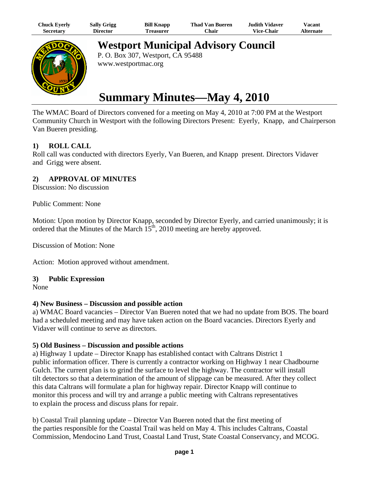| Chuck Eyerly | <b>Sally Grigg</b> | <b>Bill Knapp</b> | <b>Thad Van Bueren</b> | Judith Vidaver.   | $\mathrm{V}$ acant |
|--------------|--------------------|-------------------|------------------------|-------------------|--------------------|
| Secretary    | Director           | l reasurer        | <b>Chair</b>           | <b>Vice-Chair</b> | <b>Alternate</b>   |



**Westport Municipal Advisory Council**

P. O. Box 307, Westport, CA 95488 www.westportmac.org

# **Summary Minutes—May 4, 2010**

The WMAC Board of Directors convened for a meeting on May 4, 2010 at 7:00 PM at the Westport Community Church in Westport with the following Directors Present: Eyerly, Knapp, and Chairperson Van Bueren presiding.

# **1) ROLL CALL**

Roll call was conducted with directors Eyerly, Van Bueren, and Knapp present. Directors Vidaver and Grigg were absent.

## **2) APPROVAL OF MINUTES**

Discussion: No discussion

Public Comment: None

Motion: Upon motion by Director Knapp, seconded by Director Eyerly, and carried unanimously; it is ordered that the Minutes of the March  $15<sup>th</sup>$ , 2010 meeting are hereby approved.

Discussion of Motion: None

Action: Motion approved without amendment.

### **3) Public Expression**

None

### **4) New Business – Discussion and possible action**

a) WMAC Board vacancies – Director Van Bueren noted that we had no update from BOS. The board had a scheduled meeting and may have taken action on the Board vacancies. Directors Eyerly and Vidaver will continue to serve as directors.

### **5) Old Business – Discussion and possible actions**

a) Highway 1 update – Director Knapp has established contact with Caltrans District 1 public information officer. There is currently a contractor working on Highway 1 near Chadbourne Gulch. The current plan is to grind the surface to level the highway. The contractor will install tilt detectors so that a determination of the amount of slippage can be measured. After they collect this data Caltrans will formulate a plan for highway repair. Director Knapp will continue to monitor this process and will try and arrange a public meeting with Caltrans representatives to explain the process and discuss plans for repair.

b) Coastal Trail planning update – Director Van Bueren noted that the first meeting of the parties responsible for the Coastal Trail was held on May 4. This includes Caltrans, Coastal Commission, Mendocino Land Trust, Coastal Land Trust, State Coastal Conservancy, and MCOG.